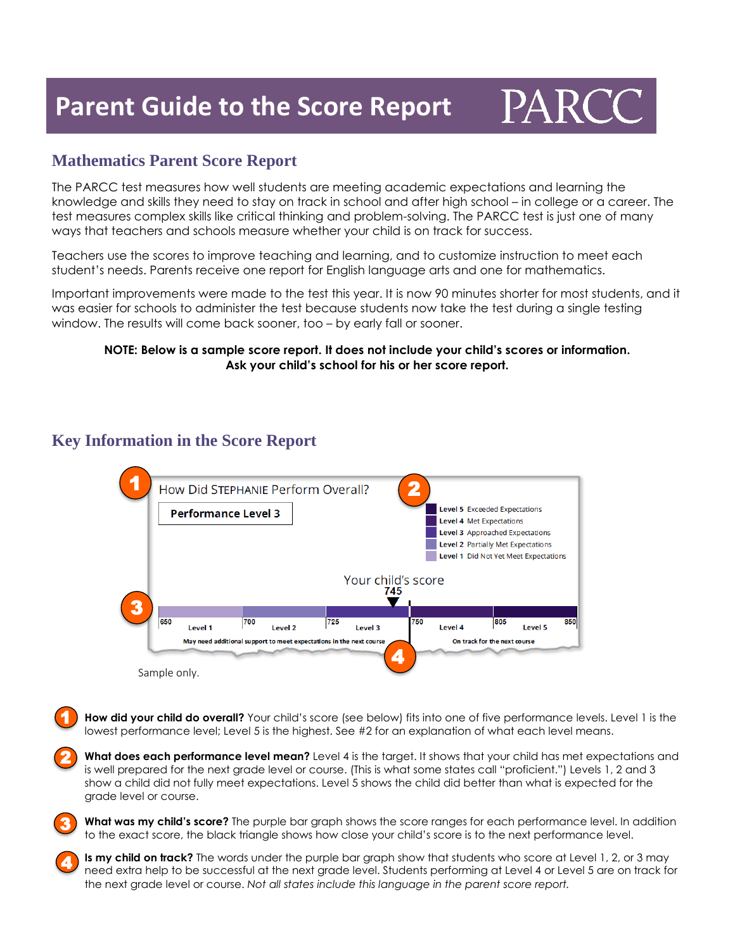## **Parent Guide to the Score Report**



#### **Mathematics Parent Score Report**

The PARCC test measures how well students are meeting academic expectations and learning the knowledge and skills they need to stay on track in school and after high school – in college or a career. The test measures complex skills like critical thinking and problem-solving. The PARCC test is just one of many ways that teachers and schools measure whether your child is on track for success.

Teachers use the scores to improve teaching and learning, and to customize instruction to meet each student's needs. Parents receive one report for English language arts and one for mathematics.

Important improvements were made to the test this year. It is now 90 minutes shorter for most students, and it was easier for schools to administer the test because students now take the test during a single testing window. The results will come back sooner, too – by early fall or sooner.

#### **NOTE: Below is a sample score report. It does not include your child's scores or information. Ask your child's school for his or her score report.**

### **Key Information in the Score Report**

3

4



How did your child do overall? Your child's score (see below) fits into one of five performance levels. Level 1 is the lowest performance level; Level 5 is the highest. See #2 for an explanation of what each level means. 1

**What does each performance level mean?** Level 4 is the target. It shows that your child has met expectations and is well prepared for the next grade level or course. (This is what some states call "proficient.") Levels 1, 2 and 3 show a child did not fully meet expectations. Level 5 shows the child did better than what is expected for the grade level or course. 2

**What was my child's score?** The purple bar graph shows the score ranges for each performance level. In addition to the exact score, the black triangle shows how close your child's score is to the next performance level.

**Is my child on track?** The words under the purple bar graph show that students who score at Level 1, 2, or 3 may need extra help to be successful at the next grade level. Students performing at Level 4 or Level 5 are on track for the next grade level or course. *Not all states include this language in the parent score report.*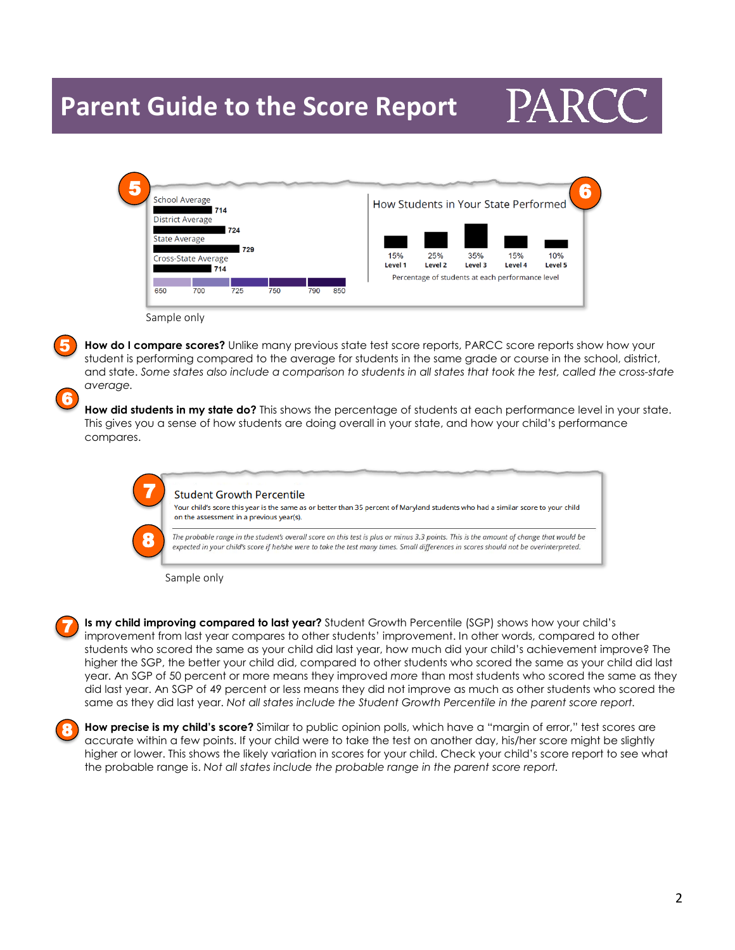### **Parent Guide to the Score Report**

# PARC

| <b>School Average</b><br>714 |                         |     |     |     |     | How Students in Your State Performed |         |         |                                                  |                |
|------------------------------|-------------------------|-----|-----|-----|-----|--------------------------------------|---------|---------|--------------------------------------------------|----------------|
|                              | <b>District Average</b> |     |     |     |     |                                      |         |         |                                                  |                |
|                              |                         | 724 |     |     |     |                                      |         |         |                                                  |                |
| <b>State Average</b><br>729  |                         |     |     |     |     |                                      |         |         |                                                  |                |
| Cross-State Average          |                         |     |     |     |     | 15%                                  | 25%     | 35%     | 15%                                              | 10%            |
|                              |                         | 714 |     |     |     | Level 1                              | Level 2 | Level 3 | Level 4                                          | <b>Level 5</b> |
|                              |                         |     |     |     |     |                                      |         |         | Percentage of students at each performance level |                |
| 650                          | 700                     | 725 | 750 | 790 | 850 |                                      |         |         |                                                  |                |

5

6

**How do I compare scores?** Unlike many previous state test score reports, PARCC score reports show how your student is performing compared to the average for students in the same grade or course in the school, district, and state. Some states also include a comparison to students in all states that took the test, called the cross-state *average.*

**How did students in my state do?** This shows the percentage of students at each performance level in your state. This gives you a sense of how students are doing overall in your state, and how your child's performance compares.

| Student Growth Percentile |  |  |
|---------------------------|--|--|
|                           |  |  |
|                           |  |  |

Your child's score this year is the same as or better than 35 percent of Maryland students who had a similar score to your child on the assessment in a previous year(s).

The probable range in the student's overall score on this test is plus or minus 3.3 points. This is the amount of change that would be expected in your child's score if he/she were to take the test many times. Small differences in scores should not be overinterpreted.

Sample only

7

8 i,



**Is my child improving compared to last year?** Student Growth Percentile (SGP) shows how your child's improvement from last year compares to other students' improvement. In other words, compared to other students who scored the same as your child did last year, how much did your child's achievement improve? The higher the SGP, the better your child did, compared to other students who scored the same as your child did last year. An SGP of 50 percent or more means they improved *more* than most students who scored the same as they did last year. An SGP of 49 percent or less means they did not improve as much as other students who scored the same as they did last year. *Not all states include the Student Growth Percentile in the parent score report.*



**How precise is my child's score?** Similar to public opinion polls, which have a "margin of error," test scores are accurate within a few points. If your child were to take the test on another day, his/her score might be slightly higher or lower. This shows the likely variation in scores for your child. Check your child's score report to see what the probable range is. *Not all states include the probable range in the parent score report.*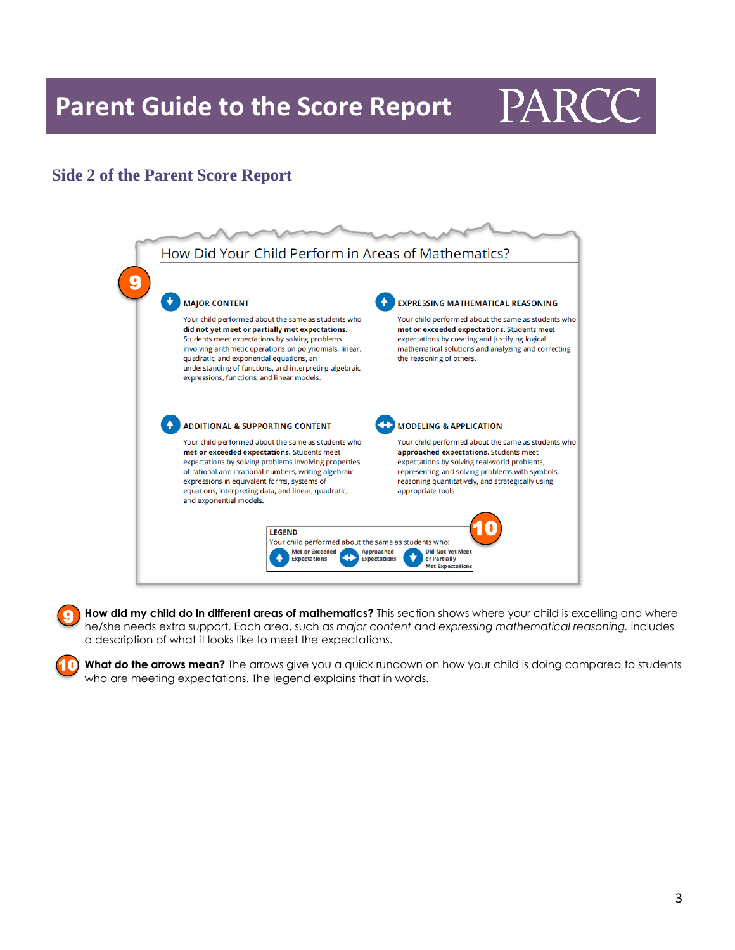**Parent Guide to the Score Report**

## PARC

### **Side 2 of the Parent Score Report**

10



**How did my child do in different areas of mathematics?** This section shows where your child is excelling and where he/she needs extra support. Each area, such as *major content* and *expressing mathematical reasoning,* includes a description of what it looks like to meet the expectations. 9

**What do the arrows mean?** The arrows give you a quick rundown on how your child is doing compared to students who are meeting expectations. The legend explains that in words.